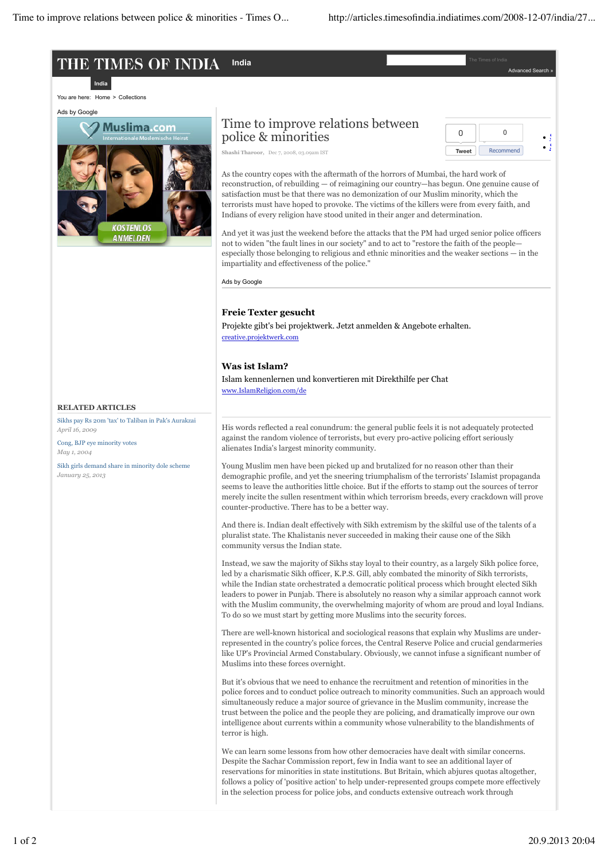#### THE TIMES OF INDIA **India** The Times of India

You are here: Home > Collections



# Time to improve relations between police & minorities

<u>India</u>



Advanced Search »

**Shashi Tharoor,** Dec 7, 2008, 03.09am IST

As the country copes with the aftermath of the horrors of Mumbai, the hard work of reconstruction, of rebuilding — of reimagining our country—has begun. One genuine cause of satisfaction must be that there was no demonization of our Muslim minority, which the terrorists must have hoped to provoke. The victims of the killers were from every faith, and Indians of every religion have stood united in their anger and determination.

And yet it was just the weekend before the attacks that the PM had urged senior police officers not to widen "the fault lines in our society" and to act to "restore the faith of the people especially those belonging to religious and ethnic minorities and the weaker sections — in the impartiality and effectiveness of the police."

Ads by Google

# **Freie Texter gesucht**

Projekte gibt's bei projektwerk. Jetzt anmelden & Angebote erhalten. creative.projektwerk.com

# **Was ist Islam?**

Islam kennenlernen und konvertieren mit Direkthilfe per Chat www.IslamReligion.com/de

#### **RELATED ARTICLES**

Sikhs pay Rs 20m 'tax' to Taliban in Pak's Aurakzai *April 16, 2009*

Cong, BJP eye minority votes *May 1, 2004*

Sikh girls demand share in minority dole scheme *January 25, 2013*

His words reflected a real conundrum: the general public feels it is not adequately protected against the random violence of terrorists, but every pro-active policing effort seriously alienates India's largest minority community.

Young Muslim men have been picked up and brutalized for no reason other than their demographic profile, and yet the sneering triumphalism of the terrorists' Islamist propaganda seems to leave the authorities little choice. But if the efforts to stamp out the sources of terror merely incite the sullen resentment within which terrorism breeds, every crackdown will prove counter-productive. There has to be a better way.

And there is. Indian dealt effectively with Sikh extremism by the skilful use of the talents of a pluralist state. The Khalistanis never succeeded in making their cause one of the Sikh community versus the Indian state.

Instead, we saw the majority of Sikhs stay loyal to their country, as a largely Sikh police force, led by a charismatic Sikh officer, K.P.S. Gill, ably combated the minority of Sikh terrorists, while the Indian state orchestrated a democratic political process which brought elected Sikh leaders to power in Punjab. There is absolutely no reason why a similar approach cannot work with the Muslim community, the overwhelming majority of whom are proud and loyal Indians. To do so we must start by getting more Muslims into the security forces.

There are well-known historical and sociological reasons that explain why Muslims are underrepresented in the country's police forces, the Central Reserve Police and crucial gendarmeries like UP's Provincial Armed Constabulary. Obviously, we cannot infuse a significant number of Muslims into these forces overnight.

But it's obvious that we need to enhance the recruitment and retention of minorities in the police forces and to conduct police outreach to minority communities. Such an approach would simultaneously reduce a major source of grievance in the Muslim community, increase the trust between the police and the people they are policing, and dramatically improve our own intelligence about currents within a community whose vulnerability to the blandishments of terror is high.

We can learn some lessons from how other democracies have dealt with similar concerns. Despite the Sachar Commission report, few in India want to see an additional layer of reservations for minorities in state institutions. But Britain, which abjures quotas altogether, follows a policy of 'positive action' to help under-represented groups compete more effectively in the selection process for police jobs, and conducts extensive outreach work through